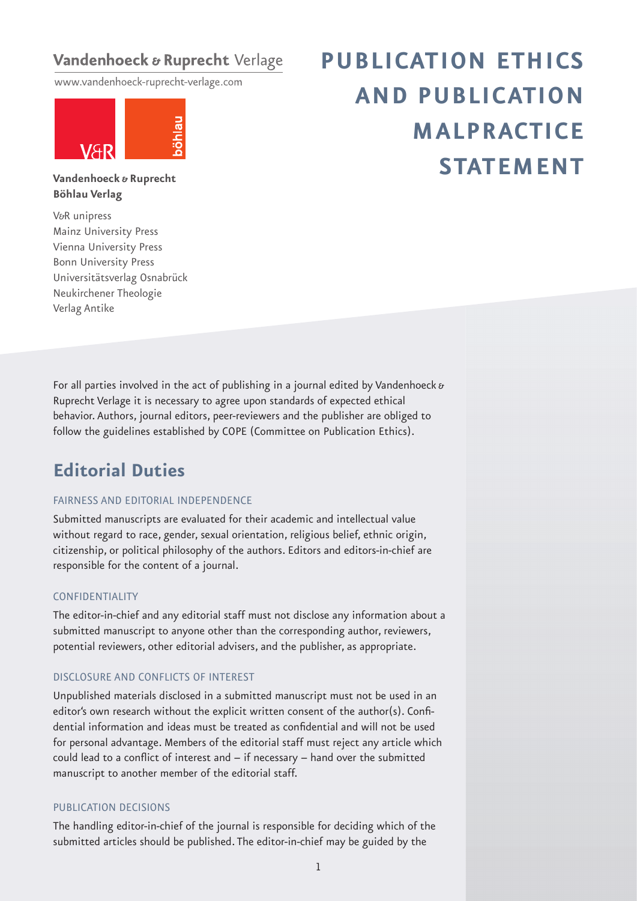## Vandenhoeck & Ruprecht Verlage

www.vandenhoeck-ruprecht-verlage.com



# **PUBLICATION ETHICS AND PUBLICATION MALPRACTICE STATEMENT**

**Vandenhoeck & Ruprecht Böhlau Verlag**

V&R unipress Mainz University Press Vienna University Press Bonn University Press Universitätsverlag Osnabrück Neukirchener Theologie Verlag Antike

For all parties involved in the act of publishing in a journal edited by Vandenhoeck  $\boldsymbol{\delta}$ Ruprecht Verlage it is necessary to agree upon standards of expected ethical behavior. Authors, journal editors, peer-reviewers and the publisher are obliged to follow the guidelines established by COPE (Committee on Publication Ethics).

# **Editorial Duties**

#### FAIRNESS AND EDITORIAL INDEPENDENCE

Submitted manuscripts are evaluated for their academic and intellectual value without regard to race, gender, sexual orientation, religious belief, ethnic origin, citizenship, or political philosophy of the authors. Editors and editors-in-chief are responsible for the content of a journal.

#### CONFIDENTIALITY

The editor-in-chief and any editorial staff must not disclose any information about a submitted manuscript to anyone other than the corresponding author, reviewers, potential reviewers, other editorial advisers, and the publisher, as appropriate.

#### DISCLOSURE AND CONFLICTS OF INTEREST

Unpublished materials disclosed in a submitted manuscript must not be used in an editor's own research without the explicit written consent of the author(s). Confidential information and ideas must be treated as confidential and will not be used for personal advantage. Members of the editorial staff must reject any article which could lead to a conflict of interest and  $-$  if necessary  $-$  hand over the submitted manuscript to another member of the editorial staff.

#### PUBLICATION DECISIONS

The handling editor-in-chief of the journal is responsible for deciding which of the submitted articles should be published. The editor-in-chief may be guided by the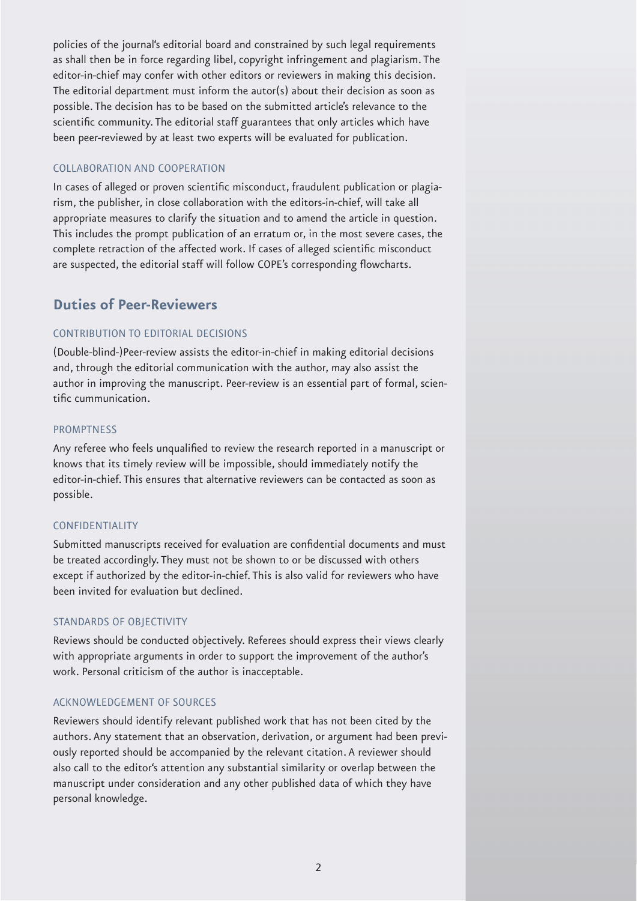policies of the journal's editorial board and constrained by such legal requirements as shall then be in force regarding libel, copyright infringement and plagiarism. The editor-in-chief may confer with other editors or reviewers in making this decision. The editorial department must inform the autor(s) about their decision as soon as possible. The decision has to be based on the submitted article's relevance to the scientific community. The editorial staff guarantees that only articles which have been peer-reviewed by at least two experts will be evaluated for publication.

#### COLLABORATION AND COOPERATION

In cases of alleged or proven scientific misconduct, fraudulent publication or plagiarism, the publisher, in close collaboration with the editors-in-chief, will take all appropriate measures to clarify the situation and to amend the article in question. This includes the prompt publication of an erratum or, in the most severe cases, the complete retraction of the affected work. If cases of alleged scientific misconduct are suspected, the editorial staff will follow COPE's corresponding flowcharts.

### **Duties of Peer-Reviewers**

#### CONTRIBUTION TO EDITORIAL DECISIONS

(Double-blind-)Peer-review assists the editor-in-chief in making editorial decisions and, through the editorial communication with the author, may also assist the author in improving the manuscript. Peer-review is an essential part of formal, scientific cummunication.

#### **PROMPTNESS**

Any referee who feels unqualified to review the research reported in a manuscript or knows that its timely review will be impossible, should immediately notify the editor-in-chief. This ensures that alternative reviewers can be contacted as soon as possible.

#### CONFIDENTIALITY

Submitted manuscripts received for evaluation are confidential documents and must be treated accordingly. They must not be shown to or be discussed with others except if authorized by the editor-in-chief. This is also valid for reviewers who have been invited for evaluation but declined.

#### STANDARDS OF OBJECTIVITY

Reviews should be conducted objectively. Referees should express their views clearly with appropriate arguments in order to support the improvement of the author's work. Personal criticism of the author is inacceptable.

#### ACKNOWLEDGEMENT OF SOURCES

Reviewers should identify relevant published work that has not been cited by the authors. Any statement that an observation, derivation, or argument had been previously reported should be accompanied by the relevant citation. A reviewer should also call to the editor's attention any substantial similarity or overlap between the manuscript under consideration and any other published data of which they have personal knowledge.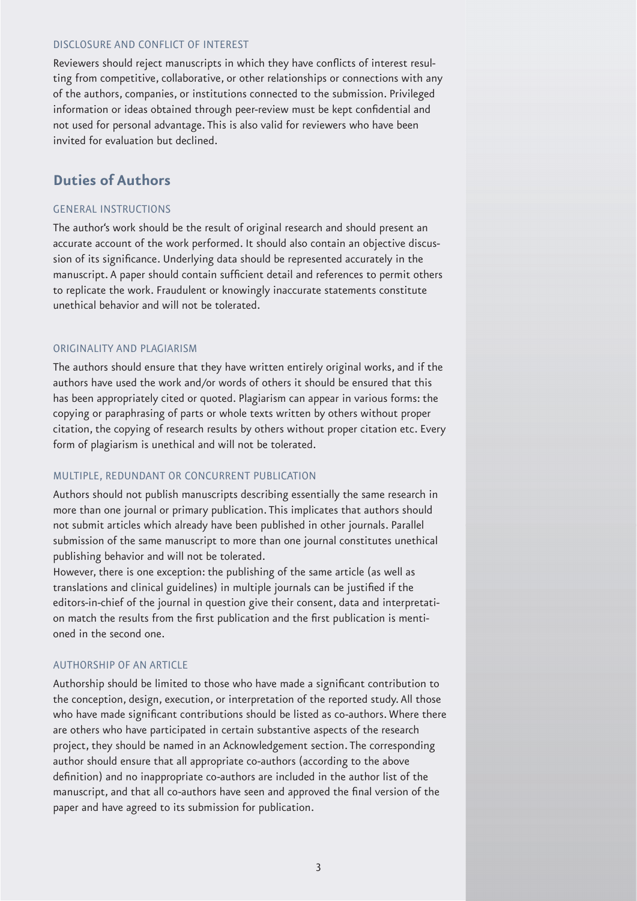#### DISCLOSURE AND CONFLICT OF INTEREST

Reviewers should reject manuscripts in which they have conflicts of interest resulting from competitive, collaborative, or other relationships or connections with any of the authors, companies, or institutions connected to the submission. Privileged information or ideas obtained through peer-review must be kept confidential and not used for personal advantage. This is also valid for reviewers who have been invited for evaluation but declined.

## **Duties of Authors**

#### GENERAL INSTRUCTIONS

The author's work should be the result of original research and should present an accurate account of the work performed. It should also contain an objective discussion of its significance. Underlying data should be represented accurately in the manuscript. A paper should contain sufficient detail and references to permit others to replicate the work. Fraudulent or knowingly inaccurate statements constitute unethical behavior and will not be tolerated.

#### ORIGINALITY AND PLAGIARISM

The authors should ensure that they have written entirely original works, and if the authors have used the work and/or words of others it should be ensured that this has been appropriately cited or quoted. Plagiarism can appear in various forms: the copying or paraphrasing of parts or whole texts written by others without proper citation, the copying of research results by others without proper citation etc. Every form of plagiarism is unethical and will not be tolerated.

#### MULTIPLE, REDUNDANT OR CONCURRENT PUBLICATION

Authors should not publish manuscripts describing essentially the same research in more than one journal or primary publication. This implicates that authors should not submit articles which already have been published in other journals. Parallel submission of the same manuscript to more than one journal constitutes unethical publishing behavior and will not be tolerated.

However, there is one exception: the publishing of the same article (as well as translations and clinical guidelines) in multiple journals can be justified if the editors-in-chief of the journal in question give their consent, data and interpretation match the results from the first publication and the first publication is mentioned in the second one.

#### AUTHORSHIP OF AN ARTICLE

Authorship should be limited to those who have made a significant contribution to the conception, design, execution, or interpretation of the reported study. All those who have made significant contributions should be listed as co-authors. Where there are others who have participated in certain substantive aspects of the research project, they should be named in an Acknowledgement section. The corresponding author should ensure that all appropriate co-authors (according to the above definition) and no inappropriate co-authors are included in the author list of the manuscript, and that all co-authors have seen and approved the final version of the paper and have agreed to its submission for publication.